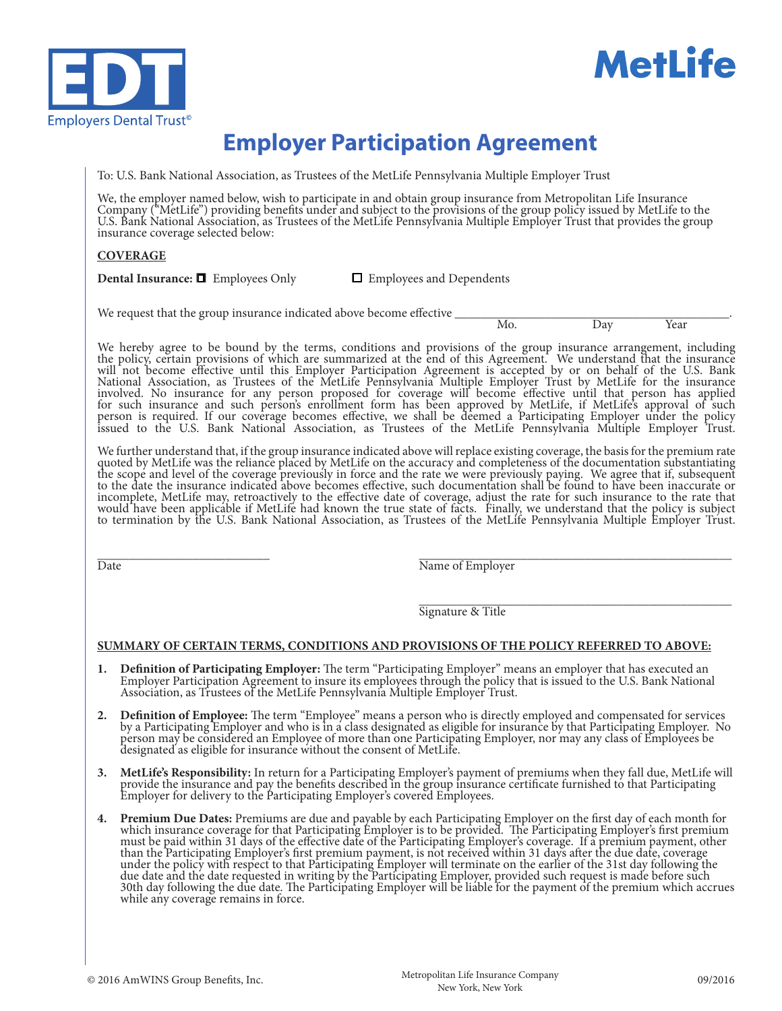



# **Employer Participation Agreement**

To: U.S. Bank National Association, as Trustees of the MetLife Pennsylvania Multiple Employer Trust

We, the employer named below, wish to participate in and obtain group insurance from Metropolitan Life Insurance Company ("MetLife") providing benefits under and subject to the provisions of the group policy issued by MetLife to the U.S. Bank National Association, as Trustees of the MetLife Pennsylvania Multiple Employer Trust that provides the group insurance coverage selected below:

### **COVERAGE**

**Dental Insurance:**  $\Box$  Employees Only  $\Box$  Employees and Dependents

We request that the group insurance indicated above become effective \_\_\_\_\_\_\_\_\_\_\_\_\_\_\_\_\_\_\_\_\_\_\_\_\_\_\_\_\_\_\_\_\_\_\_\_\_\_\_\_\_\_\_. Mo. Day Year

We hereby agree to be bound by the terms, conditions and provisions of the group insurance arrangement, including the policy, certain provisions of which are summarized at the end of this Agreement. We understand that the insurance will not become effective until this Employer Participation Agreement is accepted by or on behalf of the U.S. Bank National Association, as Trustees of the MetLife Pennsylvania Multiple Employer Trust by MetLife for the insurance involved. No insurance for any person proposed for coverage will become effective until that person has applied for such insurance and such person's enrollment form has been approved by MetLife, if MetLife's approval of such person is required. If our coverage becomes effective, we shall be deemed a Participating Employer under the policy issued to the U.S. Bank National Association, as Trustees of the MetLife Pennsylvania Multiple Employer Trust.

We further understand that, if the group insurance indicated above will replace existing coverage, the basis for the premium rate quoted by MetLife was the reliance placed by MetLife on the accuracy and completeness of the documentation substantiating the scope and level of the coverage previously in force and the rate we were previously paying. We agree that if, subsequent to the date the insurance indicated above becomes effective, such documentation shall be found to have been inaccurate or incomplete, MetLife may, retroactively to the effective date of coverage, adjust the rate for such insurance to the rate that would have been applicable if MetLife had known the true state of facts. Finally, we understand that the policy is subject to termination by the U.S. Bank National Association, as Trustees of the MetLife Pennsylvania Multiple Employer Trust.

Date **Date Employer**  $\overline{\text{Name of}_i}$ 

\_\_\_\_\_\_\_\_\_\_\_\_\_\_\_\_\_\_\_\_\_\_\_\_\_\_\_\_\_\_\_\_\_\_\_\_\_\_\_\_\_\_\_\_\_\_\_\_\_ Signature & Title

#### **SUMMARY OF CERTAIN TERMS, CONDITIONS AND PROVISIONS OF THE POLICY REFERRED TO ABOVE:**

- 1. Definition of Participating Employer: The term "Participating Employer" means an employer that has executed an Employer Participation Agreement to insure its employees through the policy that is issued to the U.S. Bank Association, as Trustees of the MetLife Pennsylvania Multiple Employer Trust.
- 2. Definition of Employee: The term "Employee" means a person who is directly employed and compensated for services by a Participating Employer and who is in a class designated as eligible for insurance by that Participati person may be considered an Employee of more than one Participating Employer, nor may any class of Employees be designated as eligible for insurance without the consent of MetLife.
- 3. MetLife's Responsibility: In return for a Participating Employer's payment of premiums when they fall due, MetLife will provide the insurance and pay the benefits described in the group insurance certificate furnished t Employer for delivery to the Participating Employer's covered Employees.
- 4. Premium Due Dates: Premiums are due and payable by each Participating Employer on the first day of each month for<br>which insurance coverage for that Participating Employer is to be provided. The Participating Employer's must be paid within 31 days of the effective date of the Participating Employer's coverage. If a premium payment, other than the Participating Employer's first premium payment, is not received within 31 days after the due date, coverage under the policy with respect to that Participating Employer will terminate on the earlier of the 31st day following the due date and the date requested in writing by the Participating Employer, provided such request is made before such 30th day following the due date. The Participating Employer will be liable for the payment of the premium which accrues while any coverage remains in force.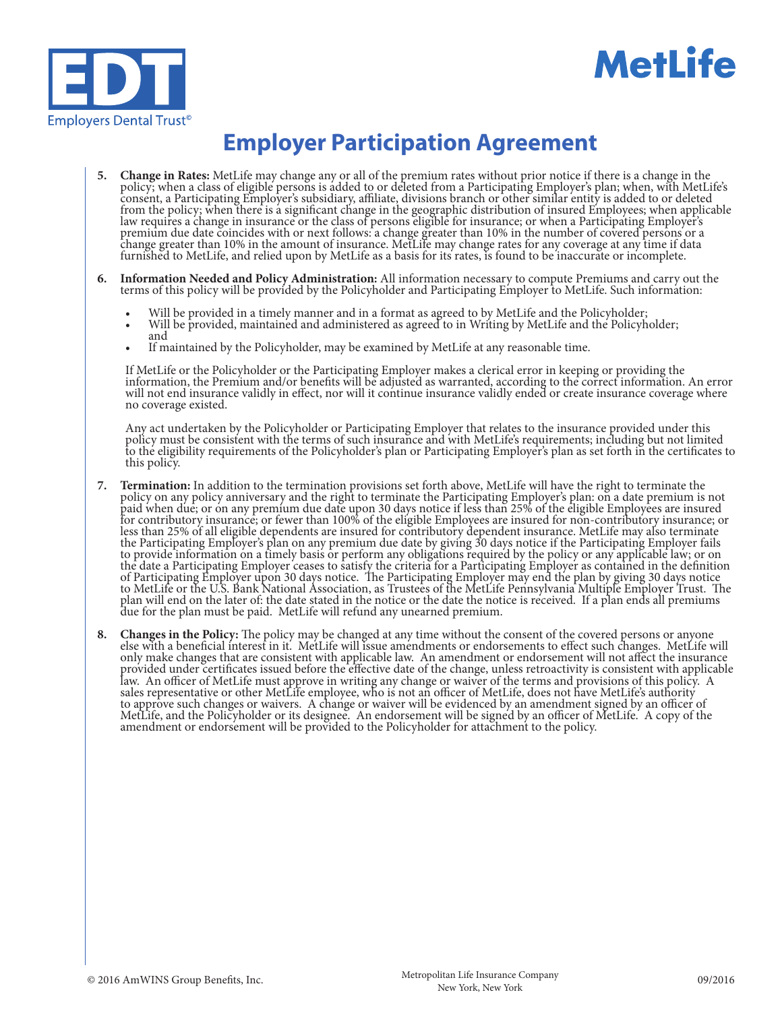



# **Employer Participation Agreement**

- 5. Change in Rates: MetLife may change any or all of the premium rates without prior notice if there is a change in the policy; when a class of eligible persons is added to or deleted from a Participating Employer's plan; consent, a Participating Employer's subsidiary, affiliate, divisions branch or other similar entity is added to or deleted from the policy; when there is a significant change in the geographic distribution of insured Employees; when applicable law requires a change in insurance or the class of persons eligible for insurance; or when a Participating Employer's premium due date coincides with or next follows: a change greater than 10% in the number of covered persons or a change greater than 10% in the amount of insurance. MetLife may change rates for any coverage at any time if data furnished to MetLife, and relied upon by MetLife as a basis for its rates, is found to be inaccurate or incomplete.
- 6. Information Needed and Policy Administration: All information necessary to compute Premiums and carry out the terms of this policy will be provided by the Policyholder and Participating Employer to MetLife. Such informa
	-
	- Will be provided in a timely manner and in a format as agreed to by MetLife and the Policyholder;<br>• Will be provided, maintained and administered as agreed to in Writing by MetLife and the Policyholder;<br>• If maintained b
	-

If MetLife or the Policyholder or the Participating Employer makes a clerical error in keeping or providing the information, the Premium and/or benefits will be adjusted as warranted, according to the correct information. An error will not end insurance validly in effect, nor will it continue insurance validly ended or create insurance coverage where no coverage existed.

Any act undertaken by the Policyholder or Participating Employer that relates to the insurance provided under this policy must be consistent with the terms of such insurance and with MetLife's requirements; including but not limited to the eligibility requirements of the Policyholder's plan or Participating Employer's plan as set forth in the certificates to this policy.

- 7. Termination: In addition to the termination provisions set forth above, MetLife will have the right to terminate the policy on any policy anniversary and the right to terminate the Participating Employer's plan: on a da paid when due; or on any premium due date upon 30 days notice if less than 25% of the eligible Employees are insured for contributory insurance; or fewer than 100% of the eligible Employees are insured for non-contributory insurance; or less than 25% of all eligible dependents are insured for contributory dependent insurance. MetLife may also terminate the Participating Employer's plan on any premium due date by giving 30 days notice if the Participating Employer fails to provide information on a timely basis or perform any obligations required by the policy or any applicable law; or on the date a Participating Employer ceases to satisfy the criteria for a Participating Employer as contained in the definition of Participating Employer upon 30 days notice. The Participating Employer may end the plan by giving 30 days notice to MetLife or the U.S. Bank National Association, as Trustees of the MetLife Pennsylvania Multiple Employer Trust. The plan will end on the later of: the date stated in the notice or the date the notice is received. If a plan ends all premiums due for the plan must be paid. MetLife will refund any unearned premium.
- 8. Changes in the Policy: The policy may be changed at any time without the consent of the covered persons or anyone else with a beneficial interest in it. MetLife will issue amendments or endorsements to effect such chang only make changes that are consistent with applicable law. An amendment or endorsement will not affect the insurance provided under certificates issued before the effective date of the change, unless retroactivity is consistent with applicable law. An officer of MetLife must approve in writing any change or waiver of the terms and provisions of this policy. A sales representative or other MetLife employee, who is not an officer of MetLife, does not have MetLife's authority to approve such changes or waivers. A change or waiver will be evidenced by an amendment signed by an officer of MetLife, and the Policyholder or its designee. An endorsement will be signed by an officer of MetLife. A copy of the amendment or endorsement will be provided to the Policyholder for attachment to the policy.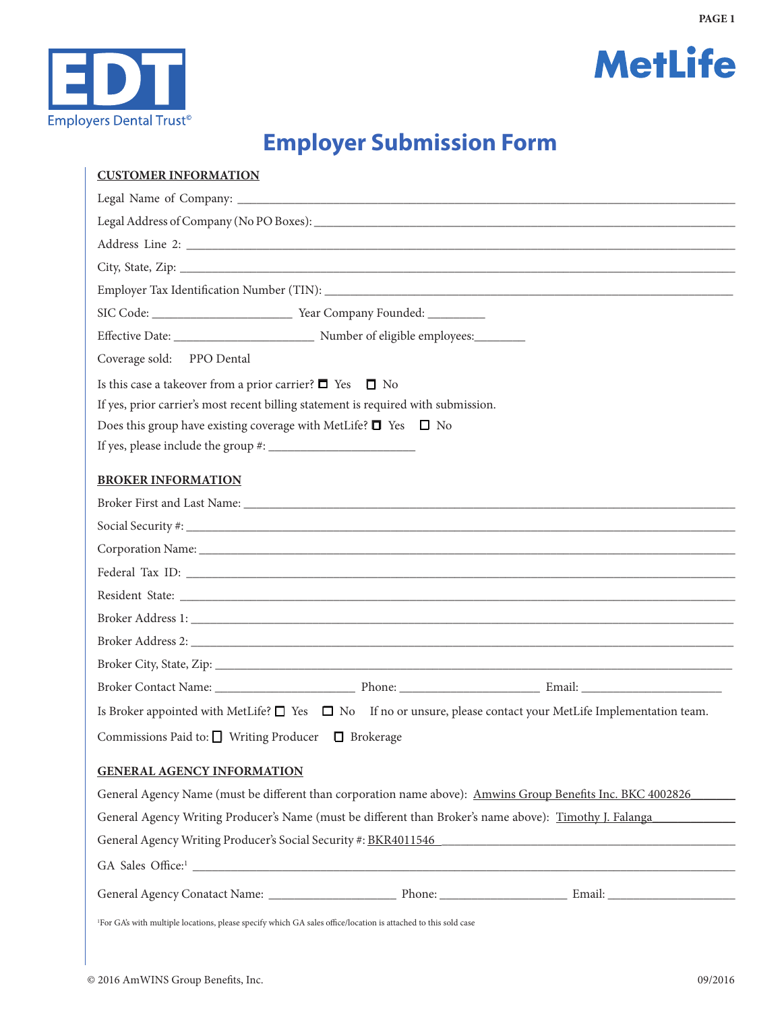



# **Employer Submission Form**

| <b>CUSTOMER INFORMATION</b>                                                                                                                                                                                                    |
|--------------------------------------------------------------------------------------------------------------------------------------------------------------------------------------------------------------------------------|
|                                                                                                                                                                                                                                |
|                                                                                                                                                                                                                                |
|                                                                                                                                                                                                                                |
|                                                                                                                                                                                                                                |
|                                                                                                                                                                                                                                |
|                                                                                                                                                                                                                                |
| Effective Date: _________________________________ Number of eligible employees:_________                                                                                                                                       |
| Coverage sold: PPO Dental                                                                                                                                                                                                      |
| Is this case a takeover from a prior carrier? $\Box$ Yes $\Box$ No                                                                                                                                                             |
| If yes, prior carrier's most recent billing statement is required with submission.                                                                                                                                             |
| Does this group have existing coverage with MetLife? $\Box$ Yes $\Box$ No                                                                                                                                                      |
|                                                                                                                                                                                                                                |
| <b>BROKER INFORMATION</b>                                                                                                                                                                                                      |
|                                                                                                                                                                                                                                |
|                                                                                                                                                                                                                                |
| Corporation Name: 1988 and 2008 and 2008 and 2008 and 2008 and 2008 and 2008 and 2008 and 2008 and 2008 and 2008 and 2008 and 2008 and 2008 and 2008 and 2008 and 2008 and 2008 and 2008 and 2008 and 2008 and 2008 and 2008 a |
|                                                                                                                                                                                                                                |
|                                                                                                                                                                                                                                |
|                                                                                                                                                                                                                                |
|                                                                                                                                                                                                                                |
|                                                                                                                                                                                                                                |
|                                                                                                                                                                                                                                |
| Is Broker appointed with MetLife? $\Box$ Yes $\Box$ No If no or unsure, please contact your MetLife Implementation team.                                                                                                       |
| Commissions Paid to: $\hfill\Box$ Writing Producer $\hfill\Box$ Brokerage                                                                                                                                                      |
| <b>GENERAL AGENCY INFORMATION</b>                                                                                                                                                                                              |
| General Agency Name (must be different than corporation name above): Amwins Group Benefits Inc. BKC 4002826                                                                                                                    |
| General Agency Writing Producer's Name (must be different than Broker's name above): Timothy J. Falanga                                                                                                                        |
| General Agency Writing Producer's Social Security #: BKR4011546                                                                                                                                                                |
|                                                                                                                                                                                                                                |
|                                                                                                                                                                                                                                |
| <sup>1</sup> For GA's with multiple locations, please specify which GA sales office/location is attached to this sold case                                                                                                     |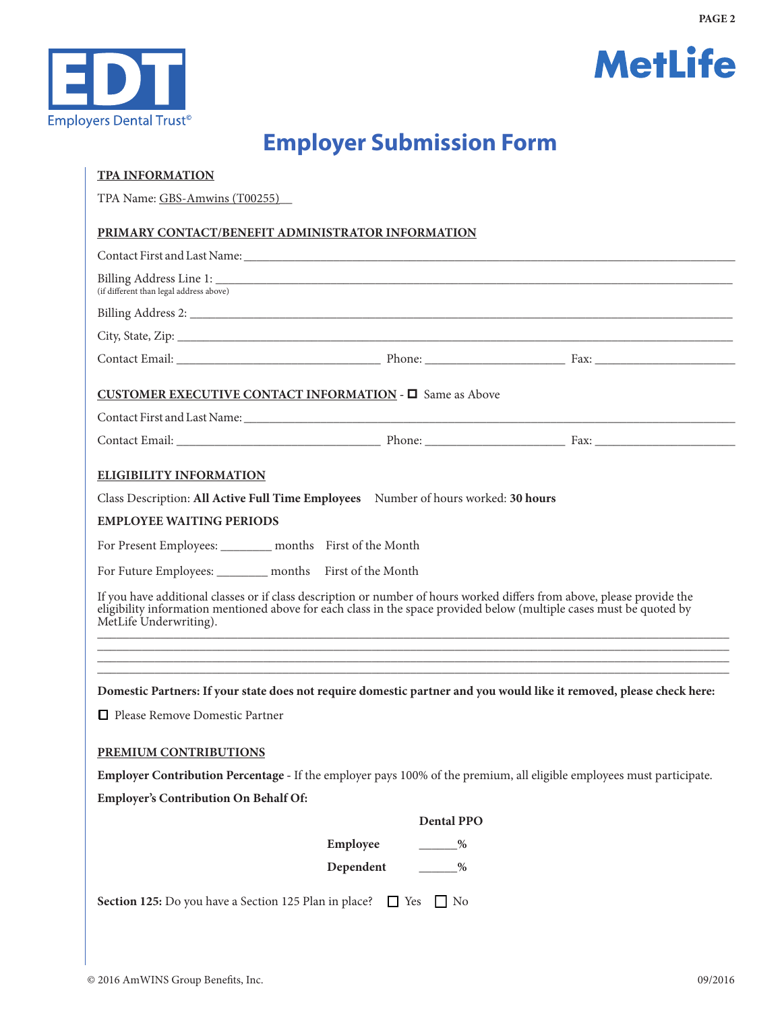



# **Employer Submission Form**

| <b>TPA INFORMATION</b>                                                                                                                                                                                                                                                    |
|---------------------------------------------------------------------------------------------------------------------------------------------------------------------------------------------------------------------------------------------------------------------------|
| TPA Name: GBS-Amwins (T00255)                                                                                                                                                                                                                                             |
| PRIMARY CONTACT/BENEFIT ADMINISTRATOR INFORMATION                                                                                                                                                                                                                         |
|                                                                                                                                                                                                                                                                           |
| (if different than legal address above)                                                                                                                                                                                                                                   |
|                                                                                                                                                                                                                                                                           |
|                                                                                                                                                                                                                                                                           |
| Contact Email: <u>Contact Email:</u> Phone: <u>Phone: Example Phone: Example Phone: Example Phone: Example Phone: Example Phone: Example Phone: Example Phone: Example Phone: Example Phone: Example Phone: Example Phone: Example Ph</u>                                 |
| CUSTOMER EXECUTIVE CONTACT INFORMATION - $\square$ Same as Above                                                                                                                                                                                                          |
|                                                                                                                                                                                                                                                                           |
|                                                                                                                                                                                                                                                                           |
| <b>ELIGIBILITY INFORMATION</b>                                                                                                                                                                                                                                            |
| Class Description: All Active Full Time Employees Number of hours worked: 30 hours                                                                                                                                                                                        |
| <b>EMPLOYEE WAITING PERIODS</b>                                                                                                                                                                                                                                           |
| For Present Employees: _________ months First of the Month                                                                                                                                                                                                                |
| For Future Employees: _________ months First of the Month                                                                                                                                                                                                                 |
| If you have additional classes or if class description or number of hours worked differs from above, please provide the<br>eligibility information mentioned above for each class in the space provided below (multiple cases must be quoted by<br>MetLife Underwriting). |
|                                                                                                                                                                                                                                                                           |
|                                                                                                                                                                                                                                                                           |
| Domestic Partners: If your state does not require domestic partner and you would like it removed, please check here:                                                                                                                                                      |
| Please Remove Domestic Partner                                                                                                                                                                                                                                            |
| PREMIUM CONTRIBUTIONS                                                                                                                                                                                                                                                     |
| Employer Contribution Percentage - If the employer pays 100% of the premium, all eligible employees must participate.                                                                                                                                                     |
| <b>Employer's Contribution On Behalf Of:</b>                                                                                                                                                                                                                              |
| <b>Dental PPO</b>                                                                                                                                                                                                                                                         |
| Employee<br>$\frac{9}{6}$                                                                                                                                                                                                                                                 |
| Dependent<br>$\frac{9}{6}$                                                                                                                                                                                                                                                |
| Section 125: Do you have a Section 125 Plan in place? □ Yes □ No                                                                                                                                                                                                          |